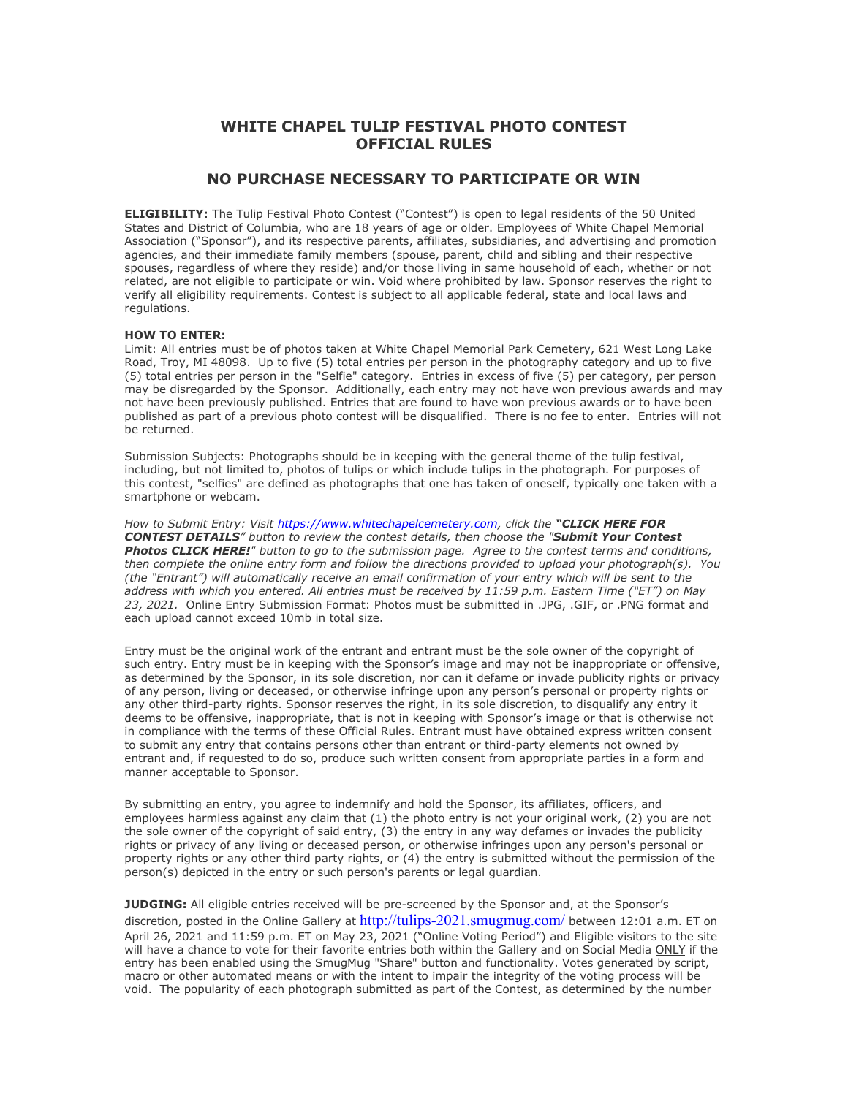## **WHITE CHAPEL TULIP FESTIVAL PHOTO CONTEST OFFICIAL RULES**

## **NO PURCHASE NECESSARY TO PARTICIPATE OR WIN**

**ELIGIBILITY:** The Tulip Festival Photo Contest ("Contest") is open to legal residents of the 50 United States and District of Columbia, who are 18 years of age or older. Employees of White Chapel Memorial Association ("Sponsor"), and its respective parents, affiliates, subsidiaries, and advertising and promotion agencies, and their immediate family members (spouse, parent, child and sibling and their respective spouses, regardless of where they reside) and/or those living in same household of each, whether or not related, are not eligible to participate or win. Void where prohibited by law. Sponsor reserves the right to verify all eligibility requirements. Contest is subject to all applicable federal, state and local laws and regulations.

## **HOW TO ENTER:**

Limit: All entries must be of photos taken at White Chapel Memorial Park Cemetery, 621 West Long Lake Road, Troy, MI 48098. Up to five (5) total entries per person in the photography category and up to five (5) total entries per person in the "Selfie" category. Entries in excess of five (5) per category, per person may be disregarded by the Sponsor. Additionally, each entry may not have won previous awards and may not have been previously published. Entries that are found to have won previous awards or to have been published as part of a previous photo contest will be disqualified. There is no fee to enter. Entries will not be returned.

Submission Subjects: Photographs should be in keeping with the general theme of the tulip festival, including, but not limited to, photos of tulips or which include tulips in the photograph. For purposes of this contest, "selfies" are defined as photographs that one has taken of oneself, typically one taken with a smartphone or webcam.

*How to Submit Entry: Visit [https://www.whitechapelcemetery.com,](https://www.whitechapelcemetery.com/) click the "CLICK HERE FOR CONTEST DETAILS" button to review the contest details, then choose the "Submit Your Contest Photos CLICK HERE!" button to go to the submission page. Agree to the contest terms and conditions, then complete the online entry form and follow the directions provided to upload your photograph(s). You (the "Entrant") will automatically receive an email confirmation of your entry which will be sent to the address with which you entered. All entries must be received by 11:59 p.m. Eastern Time ("ET") on May 23, 2021.* Online Entry Submission Format: Photos must be submitted in .JPG, .GIF, or .PNG format and each upload cannot exceed 10mb in total size.

Entry must be the original work of the entrant and entrant must be the sole owner of the copyright of such entry. Entry must be in keeping with the Sponsor's image and may not be inappropriate or offensive, as determined by the Sponsor, in its sole discretion, nor can it defame or invade publicity rights or privacy of any person, living or deceased, or otherwise infringe upon any person's personal or property rights or any other third-party rights. Sponsor reserves the right, in its sole discretion, to disqualify any entry it deems to be offensive, inappropriate, that is not in keeping with Sponsor's image or that is otherwise not in compliance with the terms of these Official Rules. Entrant must have obtained express written consent to submit any entry that contains persons other than entrant or third-party elements not owned by entrant and, if requested to do so, produce such written consent from appropriate parties in a form and manner acceptable to Sponsor.

By submitting an entry, you agree to indemnify and hold the Sponsor, its affiliates, officers, and employees harmless against any claim that (1) the photo entry is not your original work, (2) you are not the sole owner of the copyright of said entry, (3) the entry in any way defames or invades the publicity rights or privacy of any living or deceased person, or otherwise infringes upon any person's personal or property rights or any other third party rights, or (4) the entry is submitted without the permission of the person(s) depicted in the entry or such person's parents or legal guardian.

**JUDGING:** All eligible entries received will be pre-screened by the Sponsor and, at the Sponsor's discretion, posted in the Online Gallery at <http://tulips-2021.smugmug.com/> between 12:01 a.m. ET on April 26, 2021 and 11:59 p.m. ET on May 23, 2021 ("Online Voting Period") and Eligible visitors to the site will have a chance to vote for their favorite entries both within the Gallery and on Social Media ONLY if the entry has been enabled using the SmugMug "Share" button and functionality. Votes generated by script, macro or other automated means or with the intent to impair the integrity of the voting process will be void. The popularity of each photograph submitted as part of the Contest, as determined by the number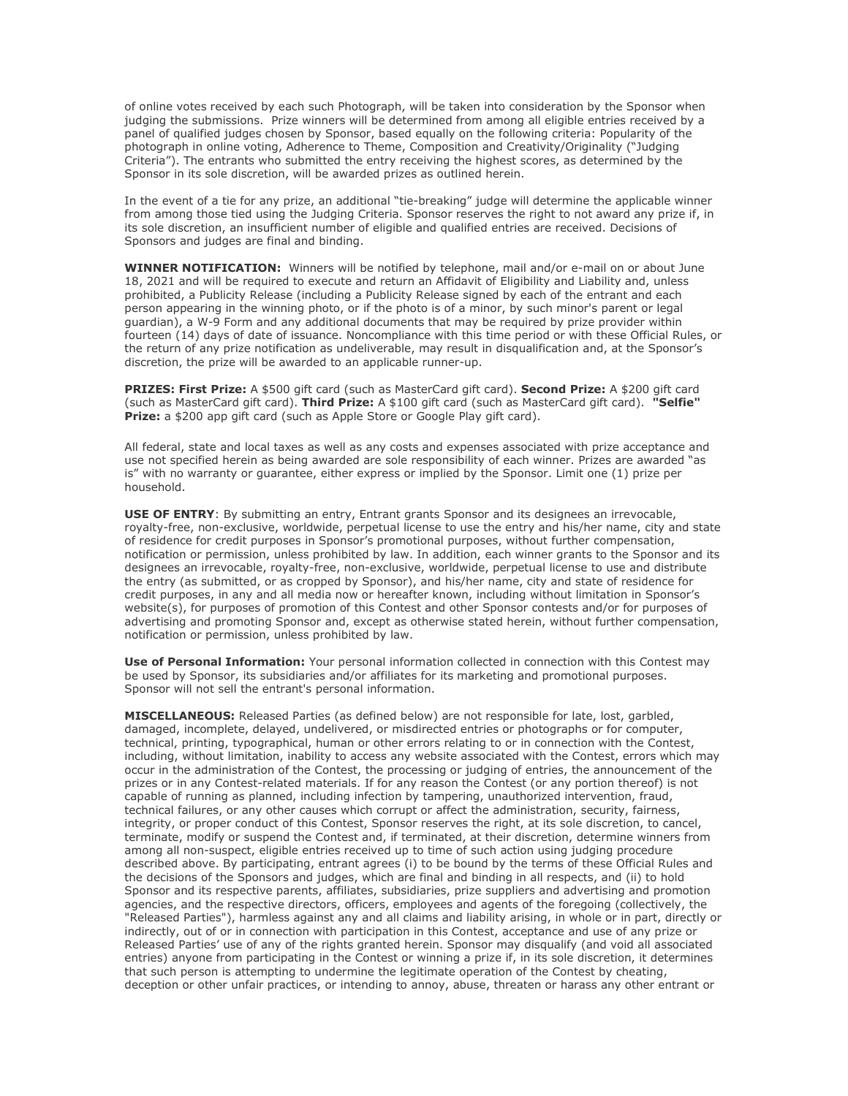of online votes received by each such Photograph, will be taken into consideration by the Sponsor when judging the submissions. Prize winners will be determined from among all eligible entries received by a panel of qualified judges chosen by Sponsor, based equally on the following criteria: Popularity of the photograph in online voting, Adherence to Theme, Composition and Creativity/Originality ("Judging Criteria"). The entrants who submitted the entry receiving the highest scores, as determined by the Sponsor in its sole discretion, will be awarded prizes as outlined herein.

In the event of a tie for any prize, an additional "tie-breaking" judge will determine the applicable winner from among those tied using the Judging Criteria. Sponsor reserves the right to not award any prize if, in its sole discretion, an insufficient number of eligible and qualified entries are received. Decisions of Sponsors and judges are final and binding.

**WINNER NOTIFICATION:** Winners will be notified by telephone, mail and/or e-mail on or about June 18, 2021 and will be required to execute and return an Affidavit of Eligibility and Liability and, unless prohibited, a Publicity Release (including a Publicity Release signed by each of the entrant and each person appearing in the winning photo, or if the photo is of a minor, by such minor's parent or legal guardian), a W-9 Form and any additional documents that may be required by prize provider within fourteen (14) days of date of issuance. Noncompliance with this time period or with these Official Rules, or the return of any prize notification as undeliverable, may result in disqualification and, at the Sponsor's discretion, the prize will be awarded to an applicable runner-up.

**PRIZES: First Prize:** A \$500 gift card (such as MasterCard gift card). **Second Prize:** A \$200 gift card (such as MasterCard gift card). **Third Prize:** A \$100 gift card (such as MasterCard gift card). **"Selfie" Prize:** a \$200 app gift card (such as Apple Store or Google Play gift card).

All federal, state and local taxes as well as any costs and expenses associated with prize acceptance and use not specified herein as being awarded are sole responsibility of each winner. Prizes are awarded "as is" with no warranty or guarantee, either express or implied by the Sponsor. Limit one (1) prize per household.

**USE OF ENTRY:** By submitting an entry, Entrant grants Sponsor and its designees an irrevocable, royalty-free, non-exclusive, worldwide, perpetual license to use the entry and his/her name, city and state of residence for credit purposes in Sponsor's promotional purposes, without further compensation, notification or permission, unless prohibited by law. In addition, each winner grants to the Sponsor and its designees an irrevocable, royalty-free, non-exclusive, worldwide, perpetual license to use and distribute the entry (as submitted, or as cropped by Sponsor), and his/her name, city and state of residence for credit purposes, in any and all media now or hereafter known, including without limitation in Sponsor's website(s), for purposes of promotion of this Contest and other Sponsor contests and/or for purposes of advertising and promoting Sponsor and, except as otherwise stated herein, without further compensation, notification or permission, unless prohibited by law.

**Use of Personal Information:** Your personal information collected in connection with this Contest may be used by Sponsor, its subsidiaries and/or affiliates for its marketing and promotional purposes. Sponsor will not sell the entrant's personal information.

**MISCELLANEOUS:** Released Parties (as defined below) are not responsible for late, lost, garbled, damaged, incomplete, delayed, undelivered, or misdirected entries or photographs or for computer, technical, printing, typographical, human or other errors relating to or in connection with the Contest, including, without limitation, inability to access any website associated with the Contest, errors which may occur in the administration of the Contest, the processing or judging of entries, the announcement of the prizes or in any Contest-related materials. If for any reason the Contest (or any portion thereof) is not capable of running as planned, including infection by tampering, unauthorized intervention, fraud, technical failures, or any other causes which corrupt or affect the administration, security, fairness, integrity, or proper conduct of this Contest, Sponsor reserves the right, at its sole discretion, to cancel, terminate, modify or suspend the Contest and, if terminated, at their discretion, determine winners from among all non-suspect, eligible entries received up to time of such action using judging procedure described above. By participating, entrant agrees (i) to be bound by the terms of these Official Rules and the decisions of the Sponsors and judges, which are final and binding in all respects, and (ii) to hold Sponsor and its respective parents, affiliates, subsidiaries, prize suppliers and advertising and promotion agencies, and the respective directors, officers, employees and agents of the foregoing (collectively, the "Released Parties"), harmless against any and all claims and liability arising, in whole or in part, directly or indirectly, out of or in connection with participation in this Contest, acceptance and use of any prize or Released Parties' use of any of the rights granted herein. Sponsor may disqualify (and void all associated entries) anyone from participating in the Contest or winning a prize if, in its sole discretion, it determines that such person is attempting to undermine the legitimate operation of the Contest by cheating, deception or other unfair practices, or intending to annoy, abuse, threaten or harass any other entrant or